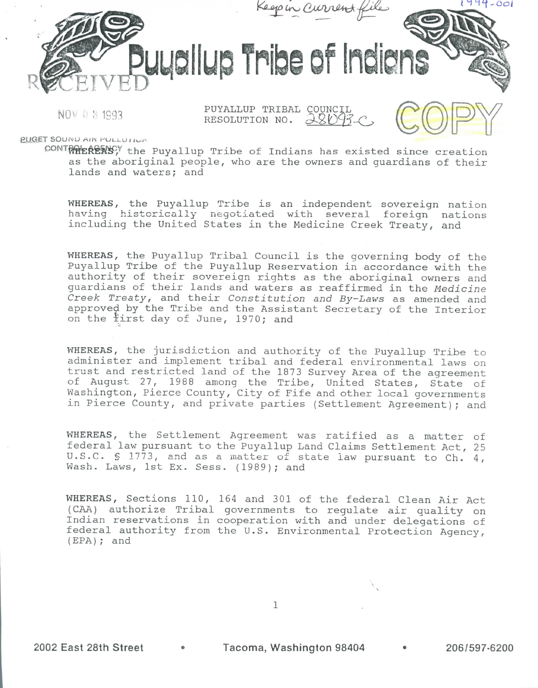

NOV 0 8 1993

PUYALLUP TRIBAL COUNCIL RESOLUTION NO. 28093.



**EUGET SOUND AIR POLLUTION** 

 $CONTR^{\text{ONN}}$  $R^{\text{SNN}}$  the Puyallup Tribe of Indians has existed since creation as the aboriginal people, who are the owners and guardians of their lands and waters; and

WHEREAS, the Puyallup Tribe is an independent sovereign nation having historically negotiated with several foreign nations including the United States in the Medicine Creek Treaty, and

WHEREAS, the Puyallup Tribal Council is the governing body of the Puyallup Tribe of the Puyallup Reservation in accordance with the authority of their sovereign rights as the aboriginal owners and guardians of their lands and waters as reaffirmed in the Medicine Creek Treaty, and their Constitution and By-Laws as amended and approved by the Tribe and the Assistant Secretary of the Interior on the first day of June, 1970; and

WHEREAS, the jurisdiction and authority of the Puyallup Tribe to administer and implement tribal and federal environmental laws on trust and restricted land of the 1873 Survey Area of the agreement of August 21, 1988 among the Tribe, United States, State of Washington, Pierce County, City of Fife and other local governments in Pierce County, and private parties (Settlement Agreement); and

WHEREAS, the Settlement Agreement was ratified as a matter of federal law pursuant to the Puyallup Land Claims Settlement Act, 25 U.S.C. § 1773, and as a matter of state law pursuant to Ch. 4, Wash. Laws, 1st Ex. Sess. (1989); and

WHEREAS, Sections 110, 164 and 301 of the federal Clean Air Act (CAA) authorize Tribal governments to regulate air quality on Indian reservations in cooperation with and under delegations of federal authority from the U.S. Environmental Protection Agency, (EPA); and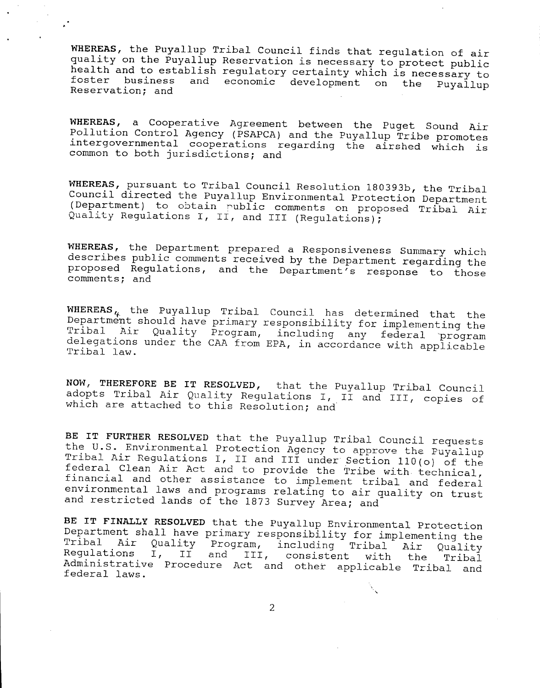WHEREAS, the Puyallup Tribal Council finds that regulation of air quality on the Puyallup Reservation is necessary to protect public health and to establish regulatory certainty which is necessary to foster business and economic development on the Puyallup Reservation; and

WHEREAS, a Cooperative Agreement between the Puget Sound Air Pollution Control Agency (PSAPCA) and the Puyallup Tribe promotes intergovernmental cooperations regarding the airshed which is common to both jurisdictions; and

WHEREAS, pursuant to Tribal Council Resolution 180393b, the Tribal Council directed the Puyallup Environmental Protection Department (Department) to obtain public comments on proposed Tribal Air Quality Regulations I, II, and III (Regulations);

WHEREAS, the Department prepared a Responsiveness Summary which describes public comments received by the Department regarding the proposed Regulations, and the Department's response to those comments; and

WHEREAS<sub> $k$ </sub> the Puyallup Tribal Council has determined that the Department should have primary responsibility for implementing the Tribal Air Quality Program, including any federal "program delegations under the CAA from EPA, in accordance with applicable ribal law.

NOW, THEREFORE BE IT RESOLVED, that the Puyallup Tribal Council adopts Tribal Air Quality Regulations I, II and III, copies of which are attached to this Resolution; and

BE IT FURTHER RESOLVED that the Puyallup Tribal Council requests the U.S. Environmental Protection Agency to approve the Puyallup Tribal Air Regulations I, II and III under Section 110(o) of the federal Clean Air Act and to provide the Tribe with technical, financial and other assistance to implement tribal and federal environmental laws and programs relating to air quality on trust and restricted lands of the 1873 Survey Area; and

BE IT FINALLY RESOLVED that the Puyallup Environmental Protection epartment shall have primary responsibility for implementing the Tibal Air Quality Program, including Tribal Air Quality Tribal Air Quality Program, including Tribal Air Quality<br>Regulations I, II and III, consistent with the Tribal Administrative Procedure Act and other applicable Tribal and federal laws.

2